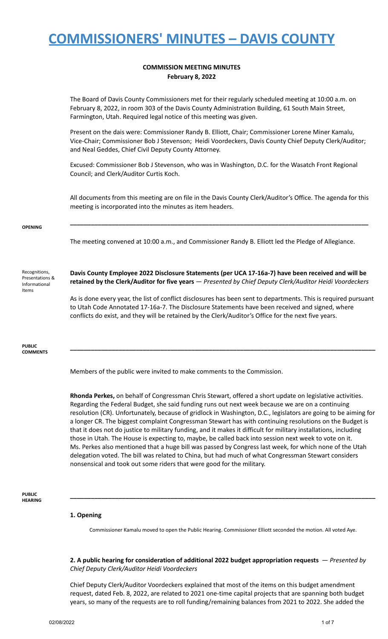### **COMMISSION MEETING MINUTES February 8, 2022**

The Board of Davis County Commissioners met for their regularly scheduled meeting at 10:00 a.m. on February 8, 2022, in room 303 of the Davis County Administration Building, 61 South Main Street, Farmington, Utah. Required legal notice of this meeting was given.

Present on the dais were: Commissioner Randy B. Elliott, Chair; Commissioner Lorene Miner Kamalu, Vice-Chair; Commissioner Bob J Stevenson; Heidi Voordeckers, Davis County Chief Deputy Clerk/Auditor; and Neal Geddes, Chief Civil Deputy County Attorney.

Excused: Commissioner Bob J Stevenson, who was in Washington, D.C. for the Wasatch Front Regional Council; and Clerk/Auditor Curtis Koch.

All documents from this meeting are on file in the Davis County Clerk/Auditor's Office. The agenda for this meeting is incorporated into the minutes as item headers.

**\_\_\_\_\_\_\_\_\_\_\_\_\_\_\_\_\_\_\_\_\_\_\_\_\_\_\_\_\_\_\_\_\_\_\_\_\_\_\_\_\_\_\_\_\_\_\_\_\_\_\_\_\_\_\_\_\_\_\_\_\_\_\_\_\_\_\_\_\_\_\_\_\_\_\_\_\_\_\_\_\_\_\_\_\_\_**

#### **OPENING**

The meeting convened at 10:00 a.m., and Commissioner Randy B. Elliott led the Pledge of Allegiance.

Recognitions, Presentations & Informational Items

**Davis County Employee 2022 Disclosure Statements (per UCA 17-16a-7) have been received and will be retained by the Clerk/Auditor for five years** — *Presented by Chief Deputy Clerk/Auditor Heidi Voordeckers*

As is done every year, the list of conflict disclosures has been sent to departments. This is required pursuant to Utah Code Annotated 17-16a-7. The Disclosure Statements have been received and signed, where conflicts do exist, and they will be retained by the Clerk/Auditor's Office for the next five years.

**\_\_\_\_\_\_\_\_\_\_\_\_\_\_\_\_\_\_\_\_\_\_\_\_\_\_\_\_\_\_\_\_\_\_\_\_\_\_\_\_\_\_\_\_\_\_\_\_\_\_\_\_\_\_\_\_\_\_\_\_\_\_\_\_\_\_\_\_\_\_\_\_\_\_\_\_\_\_\_\_\_\_\_\_\_\_\_\_**

**PUBLIC COMMENTS**

Members of the public were invited to make comments to the Commission.

**Rhonda Perkes,** on behalf of Congressman Chris Stewart, offered a short update on legislative activities. Regarding the Federal Budget, she said funding runs out next week because we are on a continuing resolution (CR). Unfortunately, because of gridlock in Washington, D.C., legislators are going to be aiming for a longer CR. The biggest complaint Congressman Stewart has with continuing resolutions on the Budget is that it does not do justice to military funding, and it makes it difficult for military installations, including those in Utah. The House is expecting to, maybe, be called back into session next week to vote on it. Ms. Perkes also mentioned that a huge bill was passed by Congress last week, for which none of the Utah delegation voted. The bill was related to China, but had much of what Congressman Stewart considers nonsensical and took out some riders that were good for the military.

#### **PUBLIC HEARING**

### **1. Opening**

Commissioner Kamalu moved to open the Public Hearing. Commissioner Elliott seconded the motion. All voted Aye.

**\_\_\_\_\_\_\_\_\_\_\_\_\_\_\_\_\_\_\_\_\_\_\_\_\_\_\_\_\_\_\_\_\_\_\_\_\_\_\_\_\_\_\_\_\_\_\_\_\_\_\_\_\_\_\_\_\_\_\_\_\_\_\_\_\_\_\_\_\_\_\_\_\_\_\_\_\_\_\_\_\_\_\_\_\_\_\_\_**

**2. A public hearing for consideration of additional 2022 budget appropriation requests** *— Presented by Chief Deputy Clerk/Auditor Heidi Voordeckers*

Chief Deputy Clerk/Auditor Voordeckers explained that most of the items on this budget amendment request, dated Feb. 8, 2022, are related to 2021 one-time capital projects that are spanning both budget years, so many of the requests are to roll funding/remaining balances from 2021 to 2022. She added the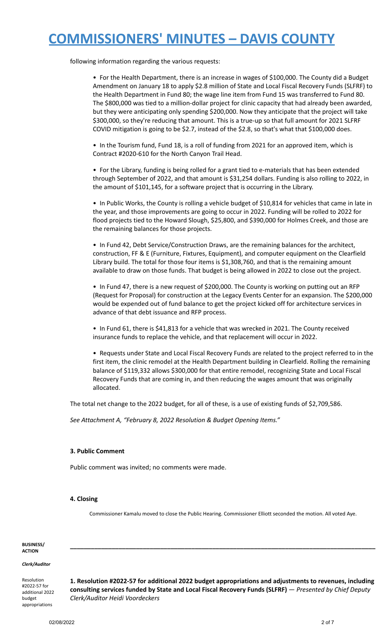following information regarding the various requests:

• For the Health Department, there is an increase in wages of \$100,000. The County did a Budget Amendment on January 18 to apply \$2.8 million of State and Local Fiscal Recovery Funds (SLFRF) to the Health Department in Fund 80; the wage line item from Fund 15 was transferred to Fund 80. The \$800,000 was tied to a million-dollar project for clinic capacity that had already been awarded, but they were anticipating only spending \$200,000. Now they anticipate that the project will take \$300,000, so they're reducing that amount. This is a true-up so that full amount for 2021 SLFRF COVID mitigation is going to be \$2.7, instead of the \$2.8, so that's what that \$100,000 does.

• In the Tourism fund, Fund 18, is a roll of funding from 2021 for an approved item, which is Contract #2020-610 for the North Canyon Trail Head.

• For the Library, funding is being rolled for a grant tied to e-materials that has been extended through September of 2022, and that amount is \$31,254 dollars. Funding is also rolling to 2022, in the amount of \$101,145, for a software project that is occurring in the Library.

• In Public Works, the County is rolling a vehicle budget of \$10,814 for vehicles that came in late in the year, and those improvements are going to occur in 2022. Funding will be rolled to 2022 for flood projects tied to the Howard Slough, \$25,800, and \$390,000 for Holmes Creek, and those are the remaining balances for those projects.

• In Fund 42, Debt Service/Construction Draws, are the remaining balances for the architect, construction, FF & E (Furniture, Fixtures, Equipment), and computer equipment on the Clearfield Library build. The total for those four items is \$1,308,760, and that is the remaining amount available to draw on those funds. That budget is being allowed in 2022 to close out the project.

• In Fund 47, there is a new request of \$200,000. The County is working on putting out an RFP (Request for Proposal) for construction at the Legacy Events Center for an expansion. The \$200,000 would be expended out of fund balance to get the project kicked off for architecture services in advance of that debt issuance and RFP process.

• In Fund 61, there is \$41,813 for a vehicle that was wrecked in 2021. The County received insurance funds to replace the vehicle, and that replacement will occur in 2022.

• Requests under State and Local Fiscal Recovery Funds are related to the project referred to in the first item, the clinic remodel at the Health Department building in Clearfield. Rolling the remaining balance of \$119,332 allows \$300,000 for that entire remodel, recognizing State and Local Fiscal Recovery Funds that are coming in, and then reducing the wages amount that was originally allocated.

The total net change to the 2022 budget, for all of these, is a use of existing funds of \$2,709,586.

*See Attachment A, "February 8, 2022 Resolution & Budget Opening Items."*

### **3. Public Comment**

Public comment was invited; no comments were made.

### **4. Closing**

Commissioner Kamalu moved to close the Public Hearing. Commissioner Elliott seconded the motion. All voted Aye.

**\_\_\_\_\_\_\_\_\_\_\_\_\_\_\_\_\_\_\_\_\_\_\_\_\_\_\_\_\_\_\_\_\_\_\_\_\_\_\_\_\_\_\_\_\_\_\_\_\_\_\_\_\_\_\_\_\_\_\_\_\_\_\_\_\_\_\_\_\_\_\_\_\_\_\_\_\_\_\_\_\_\_\_\_\_\_\_\_**

**BUSINESS/ ACTION**

### *Clerk/Auditor*

Resolution #2022-57 for additional 2022 budget appropriations

**1. Resolution #2022-57 for additional 2022 budget appropriations and adjustments to revenues, including consulting services funded by State and Local Fiscal Recovery Funds (SLFRF)** — *Presented by Chief Deputy Clerk/Auditor Heidi Voordeckers*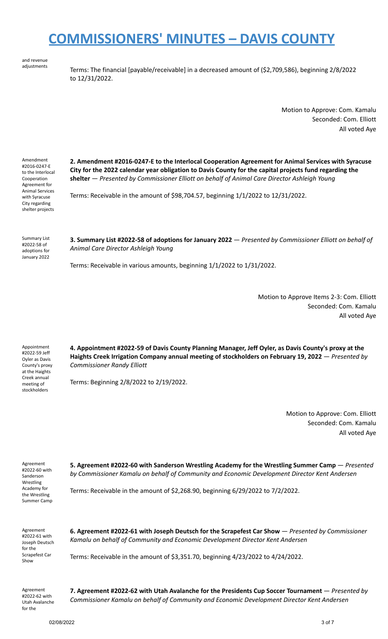and revenue adjustments

Terms: The financial [payable/receivable] in a decreased amount of (\$2,709,586), beginning 2/8/2022 to 12/31/2022.

> Motion to Approve: Com. Kamalu Seconded: Com. Elliott All voted Aye

Amendment #2016-0247-E to the Interlocal Cooperation Agreement for Animal Services with Syracuse City regarding shelter projects

**2. Amendment #2016-0247-E to the Interlocal Cooperation Agreement for Animal Services with Syracuse City for the 2022 calendar year obligation to Davis County for the capital projects fund regarding the shelter** — *Presented by Commissioner Elliott on behalf of Animal Care Director Ashleigh Young*

Terms: Receivable in the amount of \$98,704.57, beginning 1/1/2022 to 12/31/2022.

Summary List #2022-58 of adoptions for January 2022 **3. Summary List #2022-58 of adoptions for January 2022** — *Presented by Commissioner Elliott on behalf of Animal Care Director Ashleigh Young*

Terms: Receivable in various amounts, beginning 1/1/2022 to 1/31/2022.

Motion to Approve Items 2-3: Com. Elliott Seconded: Com. Kamalu All voted Aye

Appointment #2022-59 Jeff Oyler as Davis County's proxy at the Haights Creek annual meeting of stockholders

**4. Appointment #2022-59 of Davis County Planning Manager, Jeff Oyler, as Davis County's proxy at the Haights Creek Irrigation Company annual meeting of stockholders on February 19, 2022** — *Presented by Commissioner Randy Elliott*

Terms: Beginning 2/8/2022 to 2/19/2022.

Motion to Approve: Com. Elliott Seconded: Com. Kamalu All voted Aye

Agreement #2022-60 with Sanderson Wrestling Academy for the Wrestling Summer Camp **5. Agreement #2022-60 with Sanderson Wrestling Academy for the Wrestling Summer Camp** — *Presented by Commissioner Kamalu on behalf of Community and Economic Development Director Kent Andersen*

Terms: Receivable in the amount of \$2,268.90, beginning 6/29/2022 to 7/2/2022.

Agreement #2022-61 with Joseph Deutsch for the Scrapefest Car Show

**6. Agreement #2022-61 with Joseph Deutsch for the Scrapefest Car Show** — *Presented by Commissioner Kamalu on behalf of Community and Economic Development Director Kent Andersen*

Terms: Receivable in the amount of \$3,351.70, beginning 4/23/2022 to 4/24/2022.

Agreement #2022-62 with Utah Avalanche for the

**7. Agreement #2022-62 with Utah Avalanche for the Presidents Cup Soccer Tournament** — *Presented by Commissioner Kamalu on behalf of Community and Economic Development Director Kent Andersen*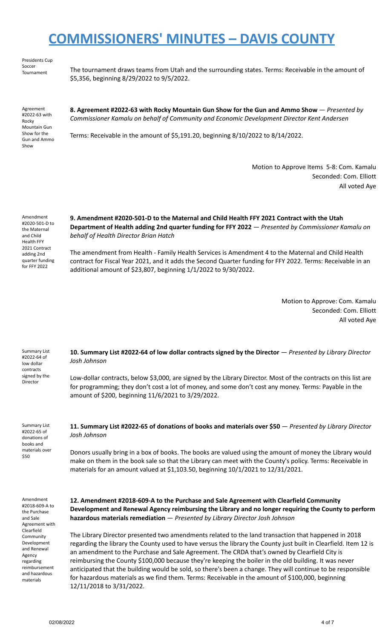Presidents Cup Soccer<br>Tournament

The tournament draws teams from Utah and the surrounding states. Terms: Receivable in the amount of \$5,356, beginning 8/29/2022 to 9/5/2022.

Agreement #2022-63 with Rocky Mountain Gun Show for the Gun and Ammo Show

**8. Agreement #2022-63 with Rocky Mountain Gun Show for the Gun and Ammo Show** — *Presented by Commissioner Kamalu on behalf of Community and Economic Development Director Kent Andersen*

Terms: Receivable in the amount of \$5,191.20, beginning 8/10/2022 to 8/14/2022.

Motion to Approve Items 5-8: Com. Kamalu Seconded: Com. Elliott All voted Aye

Amendment #2020-501-D to the Maternal and Child Health FFY 2021 Contract adding 2nd quarter funding for FFY 2022

**9. Amendment #2020-501-D to the Maternal and Child Health FFY 2021 Contract with the Utah Department of Health adding 2nd quarter funding for FFY 2022** — *Presented by Commissioner Kamalu on behalf of Health Director Brian Hatch*

The amendment from Health - Family Health Services is Amendment 4 to the Maternal and Child Health contract for Fiscal Year 2021, and it adds the Second Quarter funding for FFY 2022. Terms: Receivable in an additional amount of \$23,807, beginning 1/1/2022 to 9/30/2022.

> Motion to Approve: Com. Kamalu Seconded: Com. Elliott All voted Aye

Summary List #2022-64 of low dollar contracts signed by the Director **10. Summary List #2022-64 of low dollar contracts signed by the Director** — *Presented by Library Director Josh Johnson* Low-dollar contracts, below \$3,000, are signed by the Library Director. Most of the contracts on this list are for programming; they don't cost a lot of money, and some don't cost any money. Terms: Payable in the amount of \$200, beginning 11/6/2021 to 3/29/2022.

Summary List #2022-65 of donations of books and materials over \$50

**11. Summary List #2022-65 of donations of books and materials over \$50** — *Presented by Library Director Josh Johnson*

Donors usually bring in a box of books. The books are valued using the amount of money the Library would make on them in the book sale so that the Library can meet with the County's policy. Terms: Receivable in materials for an amount valued at \$1,103.50, beginning 10/1/2021 to 12/31/2021.

Amendment #2018-609-A to the Purchase and Sale Agreement with Clearfield **Community** Development and Renewal Agency regarding reimbursement and hazardous materials

**12. Amendment #2018-609-A to the Purchase and Sale Agreement with Clearfield Community Development and Renewal Agency reimbursing the Library and no longer requiring the County to perform hazardous materials remediation** — *Presented by Library Director Josh Johnson*

The Library Director presented two amendments related to the land transaction that happened in 2018 regarding the library the County used to have versus the library the County just built in Clearfield. Item 12 is an amendment to the Purchase and Sale Agreement. The CRDA that's owned by Clearfield City is reimbursing the County \$100,000 because they're keeping the boiler in the old building. It was never anticipated that the building would be sold, so there's been a change. They will continue to be responsible for hazardous materials as we find them. Terms: Receivable in the amount of \$100,000, beginning 12/11/2018 to 3/31/2022.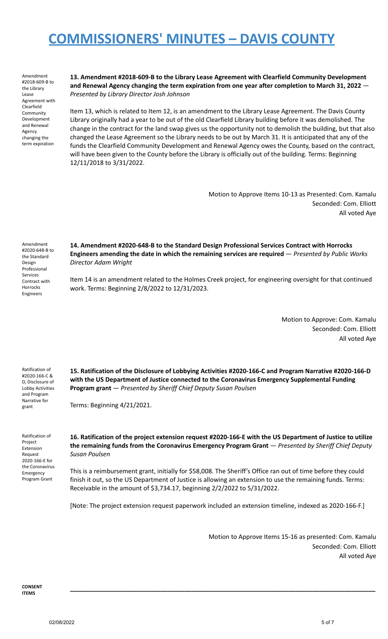Amendment #2018-609-B to the Library Lease Agreement with Clearfield Community Development and Renewal Agency changing the term expiration

**13. Amendment #2018-609-B to the Library Lease Agreement with Clearfield Community Development and Renewal Agency changing the term expiration from one year after completion to March 31, 2022** — *Presented by Library Director Josh Johnson*

Item 13, which is related to Item 12, is an amendment to the Library Lease Agreement. The Davis County Library originally had a year to be out of the old Clearfield Library building before it was demolished. The change in the contract for the land swap gives us the opportunity not to demolish the building, but that also changed the Lease Agreement so the Library needs to be out by March 31. It is anticipated that any of the funds the Clearfield Community Development and Renewal Agency owes the County, based on the contract, will have been given to the County before the Library is officially out of the building. Terms: Beginning 12/11/2018 to 3/31/2022.

> Motion to Approve Items 10-13 as Presented: Com. Kamalu Seconded: Com. Elliott All voted Aye

Amendment #2020-648-B to the Standard Design Professional Services Contract with Horrocks Engineers

**14. Amendment #2020-648-B to the Standard Design Professional Services Contract with Horrocks Engineers amending the date in which the remaining services are required** — *Presented by Public Works Director Adam Wright*

Item 14 is an amendment related to the Holmes Creek project, for engineering oversight for that continued work. Terms: Beginning 2/8/2022 to 12/31/2023.

> Motion to Approve: Com. Kamalu Seconded: Com. Elliott All voted Aye

Ratification of #2020-166-C & D, Disclosure of Lobby Activities and Program Narrative for grant

**15. Ratification of the Disclosure of Lobbying Activities #2020-166-C and Program Narrative #2020-166-D with the US Department of Justice connected to the Coronavirus Emergency Supplemental Funding Program grant** — *Presented by Sheriff Chief Deputy Susan Poulsen*

Terms: Beginning 4/21/2021.

Ratification of Project Extension Request 2020-166-E for the Coronavirus Emergency Program Grant

**16. Ratification of the project extension request #2020-166-E with the US Department of Justice to utilize the remaining funds from the Coronavirus Emergency Program Grant** — *Presented by Sheriff Chief Deputy Susan Poulsen*

This is a reimbursement grant, initially for \$58,008. The Sheriff's Office ran out of time before they could finish it out, so the US Department of Justice is allowing an extension to use the remaining funds. Terms: Receivable in the amount of \$3,734.17, beginning 2/2/2022 to 5/31/2022.

[Note: The project extension request paperwork included an extension timeline, indexed as 2020-166-F.]

**\_\_\_\_\_\_\_\_\_\_\_\_\_\_\_\_\_\_\_\_\_\_\_\_\_\_\_\_\_\_\_\_\_\_\_\_\_\_\_\_\_\_\_\_\_\_\_\_\_\_\_\_\_\_\_\_\_\_\_\_\_\_\_\_\_\_\_\_\_\_\_\_\_\_\_\_\_\_\_\_\_\_\_\_\_\_\_\_**

Motion to Approve Items 15-16 as presented: Com. Kamalu Seconded: Com. Elliott All voted Aye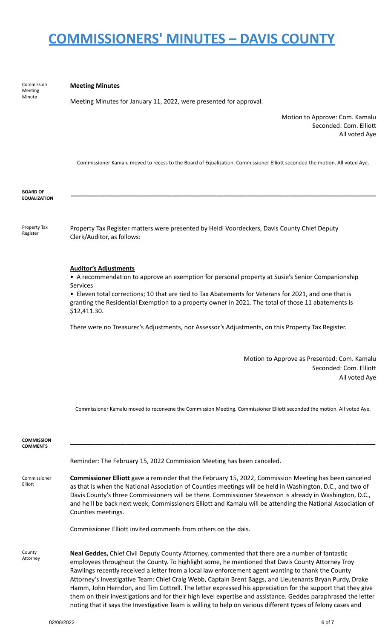Meeting Minute **Meeting Minutes** Meeting Minutes for January 11, 2022, were presented for approval. Motion to Approve: Com. Kamalu Seconded: Com. Elliott All voted Aye Commissioner Kamalu moved to recess to the Board of Equalization. Commissioner Elliott seconded the motion. All voted Aye. **BOARD OF EQUALIZATION \_\_\_\_\_\_\_\_\_\_\_\_\_\_\_\_\_\_\_\_\_\_\_\_\_\_\_\_\_\_\_\_\_\_\_\_\_\_\_\_\_\_\_\_\_\_\_\_\_\_\_\_\_\_\_\_\_\_\_\_\_\_\_\_\_\_\_\_\_\_\_\_\_\_\_\_\_\_\_\_\_\_\_\_\_\_\_\_** Property Tax Register Property Tax Register matters were presented by Heidi Voordeckers, Davis County Chief Deputy Clerk/Auditor, as follows: **Auditor's Adjustments** • A recommendation to approve an exemption for personal property at Susie's Senior Companionship Services • Eleven total corrections; 10 that are tied to Tax Abatements for Veterans for 2021, and one that is granting the Residential Exemption to a property owner in 2021. The total of those 11 abatements is \$12,411.30. There were no Treasurer's Adjustments, nor Assessor's Adjustments, on this Property Tax Register. Motion to Approve as Presented: Com. Kamalu Seconded: Com. Elliott All voted Aye Commissioner Kamalu moved to reconvene the Commission Meeting. Commissioner Elliott seconded the motion. All voted Aye. **COMMISSION COMMENTS \_\_\_\_\_\_\_\_\_\_\_\_\_\_\_\_\_\_\_\_\_\_\_\_\_\_\_\_\_\_\_\_\_\_\_\_\_\_\_\_\_\_\_\_\_\_\_\_\_\_\_\_\_\_\_\_\_\_\_\_\_\_\_\_\_\_\_\_\_\_\_\_\_\_\_\_\_\_\_\_\_\_\_\_\_\_\_\_** Commissioner Elliott Reminder: The February 15, 2022 Commission Meeting has been canceled. **Commissioner Elliott** gave a reminder that the February 15, 2022, Commission Meeting has been canceled as that is when the National Association of Counties meetings will be held in Washington, D.C., and two of Davis County's three Commissioners will be there. Commissioner Stevenson is already in Washington, D.C., and he'll be back next week; Commissioners Elliott and Kamalu will be attending the National Association of Counties meetings. Commissioner Elliott invited comments from others on the dais. County Attorney **Neal Geddes,** Chief Civil Deputy County Attorney, commented that there are a number of fantastic employees throughout the County. To highlight some, he mentioned that Davis County Attorney Troy Rawlings recently received a letter from a local law enforcement agent wanting to thank the County

> Attorney's Investigative Team: Chief Craig Webb, Captain Brent Baggs, and Lieutenants Bryan Purdy, Drake Hamm, John Herndon, and Tim Cottrell. The letter expressed his appreciation for the support that they give them on their investigations and for their high level expertise and assistance. Geddes paraphrased the letter noting that it says the Investigative Team is willing to help on various different types of felony cases and

02/08/2022 6 of 7

Commission